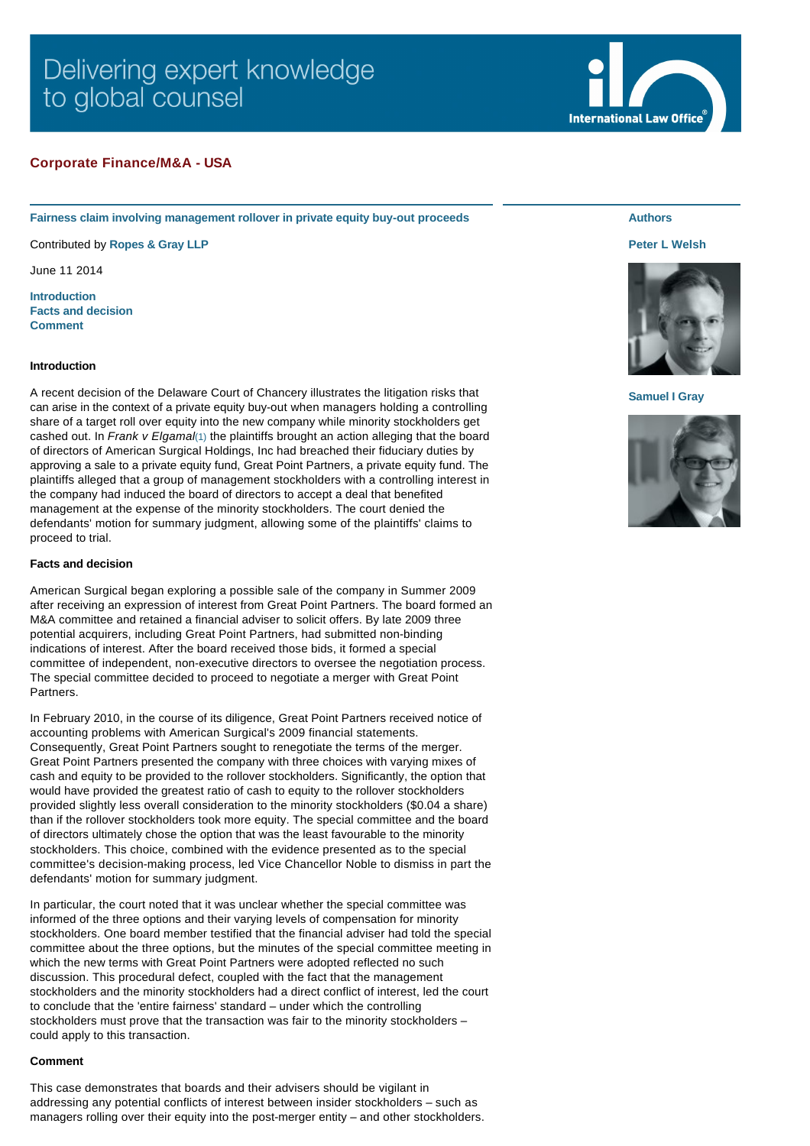# Delivering expert knowledge to global counsel

# **Corporate Finance/M&A - USA**

**Fairness claim involving management rollover in private equity buy-out proceeds**

Contributed by **[Ropes & Gray LLP](http://www.internationallawoffice.com/gesr.ashx?l=7LEQLDA)**

June 11 2014

**[Introduction](#page-0-0) [Facts and decision](#page-0-1) [Comment](#page-0-2)**

### <span id="page-0-0"></span>**Introduction**

A recent decision of the Delaware Court of Chancery illustrates the litigation risks that can arise in the context of a private equity buy-out when managers holding a controlling share of a target roll over equity into the new company while minority stockholders get cashed out. In *Frank v Elgamal*[\(1\)](#page-1-0) the plaintiffs brought an action alleging that the board of directors of American Surgical Holdings, Inc had breached their fiduciary duties by approving a sale to a private equity fund, Great Point Partners, a private equity fund. The plaintiffs alleged that a group of management stockholders with a controlling interest in the company had induced the board of directors to accept a deal that benefited management at the expense of the minority stockholders. The court denied the defendants' motion for summary judgment, allowing some of the plaintiffs' claims to proceed to trial.

#### <span id="page-0-1"></span>**Facts and decision**

American Surgical began exploring a possible sale of the company in Summer 2009 after receiving an expression of interest from Great Point Partners. The board formed an M&A committee and retained a financial adviser to solicit offers. By late 2009 three potential acquirers, including Great Point Partners, had submitted non-binding indications of interest. After the board received those bids, it formed a special committee of independent, non-executive directors to oversee the negotiation process. The special committee decided to proceed to negotiate a merger with Great Point Partners.

In February 2010, in the course of its diligence, Great Point Partners received notice of accounting problems with American Surgical's 2009 financial statements. Consequently, Great Point Partners sought to renegotiate the terms of the merger. Great Point Partners presented the company with three choices with varying mixes of cash and equity to be provided to the rollover stockholders. Significantly, the option that would have provided the greatest ratio of cash to equity to the rollover stockholders provided slightly less overall consideration to the minority stockholders (\$0.04 a share) than if the rollover stockholders took more equity. The special committee and the board of directors ultimately chose the option that was the least favourable to the minority stockholders. This choice, combined with the evidence presented as to the special committee's decision-making process, led Vice Chancellor Noble to dismiss in part the defendants' motion for summary judgment.

In particular, the court noted that it was unclear whether the special committee was informed of the three options and their varying levels of compensation for minority stockholders. One board member testified that the financial adviser had told the special committee about the three options, but the minutes of the special committee meeting in which the new terms with Great Point Partners were adopted reflected no such discussion. This procedural defect, coupled with the fact that the management stockholders and the minority stockholders had a direct conflict of interest, led the court to conclude that the 'entire fairness' standard – under which the controlling stockholders must prove that the transaction was fair to the minority stockholders – could apply to this transaction.

#### <span id="page-0-2"></span>**Comment**

This case demonstrates that boards and their advisers should be vigilant in addressing any potential conflicts of interest between insider stockholders – such as managers rolling over their equity into the post-merger entity – and other stockholders.

## **Authors**

#### **[Peter L Welsh](http://www.internationallawoffice.com/gesr.ashx?l=7LEQLDD)**



#### **[Samuel I Gray](http://www.internationallawoffice.com/gesr.ashx?l=7LEQLDG)**